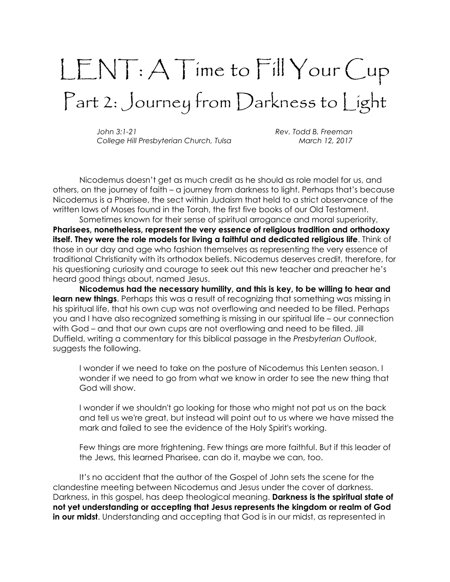## LENT: A Time to Fill Your Cup Part 2: Journey from Darkness to Light

John 3:1-21 Rev. Todd B. Freeman College Hill Presbyterian Church, Tulsa March 12, 2017

Nicodemus doesn't get as much credit as he should as role model for us, and others, on the journey of faith – a journey from darkness to light. Perhaps that's because Nicodemus is a Pharisee, the sect within Judaism that held to a strict observance of the written laws of Moses found in the Torah, the first five books of our Old Testament.

Sometimes known for their sense of spiritual arrogance and moral superiority, Pharisees, nonetheless, represent the very essence of religious tradition and orthodoxy itself. They were the role models for living a faithful and dedicated religious life. Think of those in our day and age who fashion themselves as representing the very essence of traditional Christianity with its orthodox beliefs. Nicodemus deserves credit, therefore, for his questioning curiosity and courage to seek out this new teacher and preacher he's heard good things about, named Jesus.

Nicodemus had the necessary humility, and this is key, to be willing to hear and learn new things. Perhaps this was a result of recognizing that something was missing in his spiritual life, that his own cup was not overflowing and needed to be filled. Perhaps you and I have also recognized something is missing in our spiritual life – our connection with God – and that our own cups are not overflowing and need to be filled. Jill Duffield, writing a commentary for this biblical passage in the Presbyterian Outlook, suggests the following.

I wonder if we need to take on the posture of Nicodemus this Lenten season. I wonder if we need to go from what we know in order to see the new thing that God will show.

I wonder if we shouldn't go looking for those who might not pat us on the back and tell us we're great, but instead will point out to us where we have missed the mark and failed to see the evidence of the Holy Spirit's working.

Few things are more frightening. Few things are more faithful. But if this leader of the Jews, this learned Pharisee, can do it, maybe we can, too.

It's no accident that the author of the Gospel of John sets the scene for the clandestine meeting between Nicodemus and Jesus under the cover of darkness. Darkness, in this gospel, has deep theological meaning. Darkness is the spiritual state of not yet understanding or accepting that Jesus represents the kingdom or realm of God in our midst. Understanding and accepting that God is in our midst, as represented in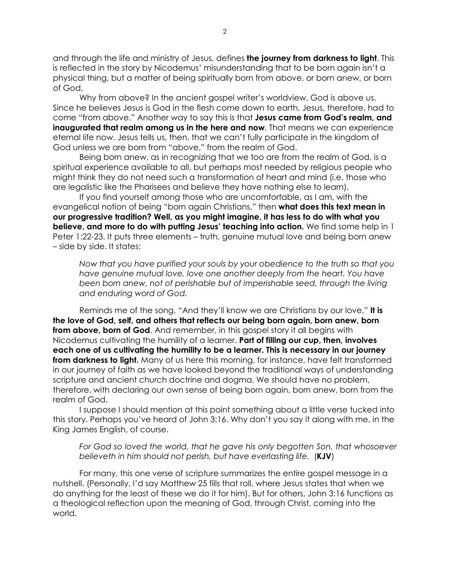and through the life and ministry of Jesus, defines the journey from darkness to light. This is reflected in the story by Nicodemus' misunderstanding that to be born again isn't a physical thing, but a matter of being spiritually born from above, or born anew, or born of God.

Why from above? In the ancient gospel writer's worldview, God is above us. Since he believes Jesus is God in the flesh come down to earth, Jesus, therefore, had to come "from above." Another way to say this is that Jesus came from God's realm, and inaugurated that realm among us in the here and now. That means we can experience eternal life now. Jesus tells us, then, that we can't fully participate in the kingdom of God unless we are born from "above," from the realm of God.

Being born anew, as in recognizing that we too are from the realm of God, is a spiritual experience available to all, but perhaps most needed by religious people who might think they do not need such a transformation of heart and mind (i.e. those who are legalistic like the Pharisees and believe they have nothing else to learn).

If you find yourself among those who are uncomfortable, as I am, with the evangelical notion of being "born again Christians," then what does this text mean in our progressive tradition? Well, as you might imagine, it has less to do with what you **believe, and more to do with putting Jesus' teaching into action.** We find some help in 1 Peter 1:22-23. It puts three elements – truth, genuine mutual love and being born anew – side by side. It states:

Now that you have purified your souls by your obedience to the truth so that you have genuine mutual love, love one another deeply from the heart. You have been born anew, not of perishable but of imperishable seed, through the living and enduring word of God.

Reminds me of the song, "And they'll know we are Christians by our love." It is the love of God, self, and others that reflects our being born again, born anew, born from above, born of God. And remember, in this gospel story it all begins with Nicodemus cultivating the humility of a learner. Part of filling our cup, then, involves each one of us cultivating the humility to be a learner. This is necessary in our journey from darkness to light. Many of us here this morning, for instance, have felt transformed in our journey of faith as we have looked beyond the traditional ways of understanding scripture and ancient church doctrine and dogma. We should have no problem, therefore, with declaring our own sense of being born again, born anew, born from the realm of God.

I suppose I should mention at this point something about a little verse tucked into this story. Perhaps you've heard of John 3:16. Why don't you say it along with me, in the King James English, of course.

For God so loved the world, that he gave his only begotten Son, that whosoever believeth in him should not perish, but have everlasting life. (KJV)

For many, this one verse of scripture summarizes the entire gospel message in a nutshell. (Personally, I'd say Matthew 25 fills that roll, where Jesus states that when we do anything for the least of these we do it for him). But for others, John 3:16 functions as a theological reflection upon the meaning of God, through Christ, coming into the world.